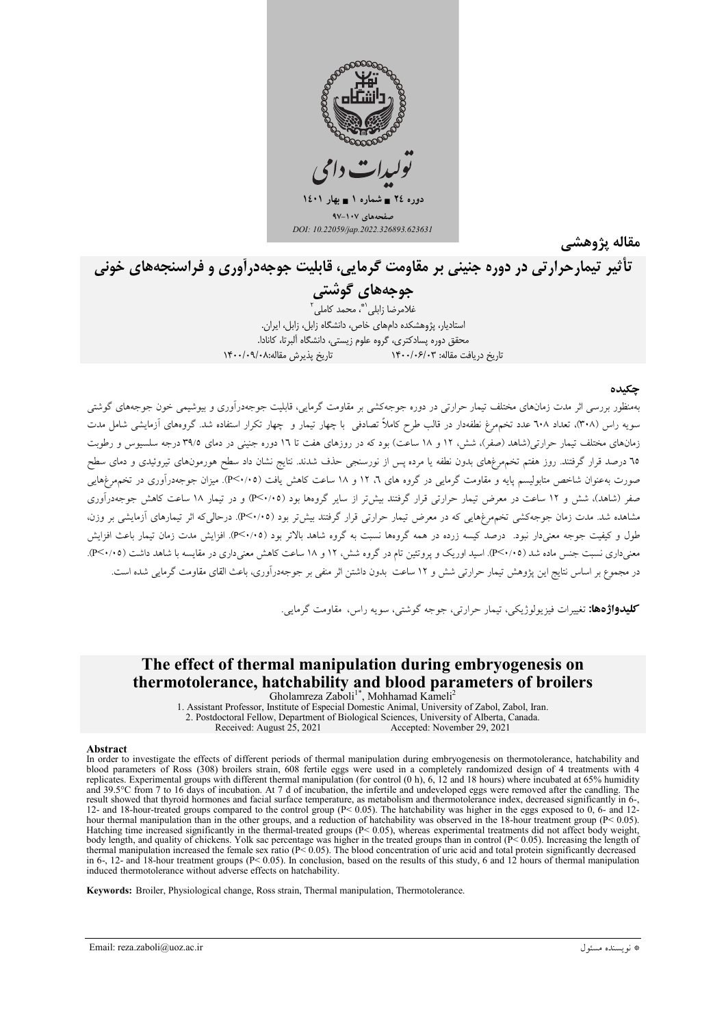

مقاله پژوهشے

# تأثیر تیمارحرارتی در دوره جنینی بر مقاومت گرمایی، قابلیت جوجهدرآوری و فراسنجههای خونی

# جوجەھاي گوشتى

.<br>غلامرضا زابلي<sup>\\*</sup>، محمد كاملي استادیار، پژوهشکده دامهای خاص، دانشگاه زابل، زابل، ایران. محقق دوره پسادکتری، گروه علوم زیستی، دانشگاه آلبرتا، کانادا. تاریخ دریافت مقاله: ۱۴۰۰/۰۶/۰۳ تاریخ پذیرش مقاله:۰/۰۹/۰۸|

#### چکیده

بهمنظور بررسی اثر مدت زمانهای مختلف تیمار حرارتی در دوره جوجهکشی بر مقاومت گرمایی، قابلیت جوجهدرآوری و بیوشیمی خون جوجههای گوشتی سویه راس (۳۰۸)، تعداد ٦٠٨ عدد تخمهرغ نطفهدار در قالب طرح کاملاً تصادفی با چهار تیمار و چهار تکرار استفاده شد. گروههای آزمایشی شامل مدت زمانهای مختلف تیمار حرارتی(شاهد (صفر)، شش، ۱۲ و ۱۸ ساعت) بود که در روزهای هفت تا ۱7 دوره جنینی در دمای ۳۹/۵ درجه سلسیوس و رطوبت ۲۵ درصد قرار گرفتند. روز هفتم تخمهرغهای بدون نطفه یا مرده پس از نورسنجی حذف شدند. نتایج نشان داد سطح هورمونهای تیروئیدی و دمای سطح صورت بهعنوان شاخص متابولیسم پایه و مقاومت گرمایی در گروه های ٦، ١٢ و ١٨ ساعت کاهش یافت (٣<٠/٠٥). میزان جوجهدرآوری در تخمهمرغهایی صفر (شاهد)، شش و ۱۲ ساعت در معرض تیمار حرارتی قرار گرفتند بیش تر از سایر گروهها بود (۴/۰۵-P) و در تیمار ۱۸ ساعت کاهش جوجهدرآوری مشاهده شد. مدت زمان جوجهکشی تخمهرغهایی که در معرض تیمار حرارتی قرار گرفتند بیش تر بود (۴/۰/۰۵). درحالی که اثر تیمارهای آزمایش<sub>،</sub> بر وزن، طول و کیفیت جوجه معنے دار نبود. درصد کیسه زرده در همه گروهها نسبت به گروه شاهد بالاتر بود (٢٢٠/٩٥). افزایش مدت زمان تیمار باعث افزایش معنیداری نسبت جنس ماده شد (۴/۰/۰۵). اسید اوریک و پروتئین تام در گروه شش، ۱۲ و ۱۸ ساعت کاهش معنیداری در مقایسه با شاهد داشت (۴/۰/۰۵). در مجموع بر اساس نتايج اين پژوهش تيمار حرارتي شش و ١٢ ساعت بدون داشتن اثر منفي بر جوجهدرآوري، باعث القاي مقاومت گرمايي شده است.

**کلیدواژهها:** تغییرات فیزیولوژیکی، تیمار حرارتی، جوجه گوشتی، سویه راس، مقاومت گرمایی.

# The effect of thermal manipulation during embryogenesis on thermotolerance, hatchability and blood parameters of broilers

Gholamreza Zaboli<sup>1\*</sup>, Mohhamad Kameli<sup>2</sup> 1. Assistant Professor, Institute of Especial Domestic Animal, University of Zabol, Zabol, Iran. 2. Postdoctoral Fellow, Department of Biological Sciences, University of Alberta, Canada.

Received: August 25, 2021 Accepted: November 29, 2021

#### Abstract

In order to investigate the effects of different periods of thermal manipulation during embryogenesis on thermotolerance, hatchability and blood parameters of Ross (308) broilers strain, 608 fertile eggs were used in a completely randomized design of 4 treatments with 4 replicates. Experimental groups with different thermal manipulation (for control (0 h), 6, 12 and 18 hours) where incubated at 65% humidity and 39.5°C from 7 to 16 days of incubation. At 7 d of incubation, the infertile and undeveloped eggs were removed after the candling. The result showed that thyroid hormones and facial surface temperature, as metabolism and thermotolerance index, decreased significantly in 6-, 12- and 18-hour-treated groups compared to the control group  $(P< 0.05)$ . The hatchability was higher in the eggs exposed to 0, 6- and 12hour thermal manipulation than in the other groups, and a reduction of hatchability was observed in the 18-hour treatment group (P< 0.05). Hatching time increased significantly in the thermal-treated groups (P< 0.05), whereas experimental treatments did not affect body weight, body length, and quality of chickens. Yolk sac percentage was higher in the treated groups than in control  $(P< 0.05)$ . Increasing the length of body length, and quality of chickens. Tolk sac percentage was higher in the treated groups than in control ( $F > 0.05$ ). Increasing the length of thermal manipulation increased the female sex ratio ( $P < 0.05$ ). The blood c induced thermotolerance without adverse effects on hatchability.

Keywords: Broiler, Physiological change, Ross strain, Thermal manipulation, Thermotolerance.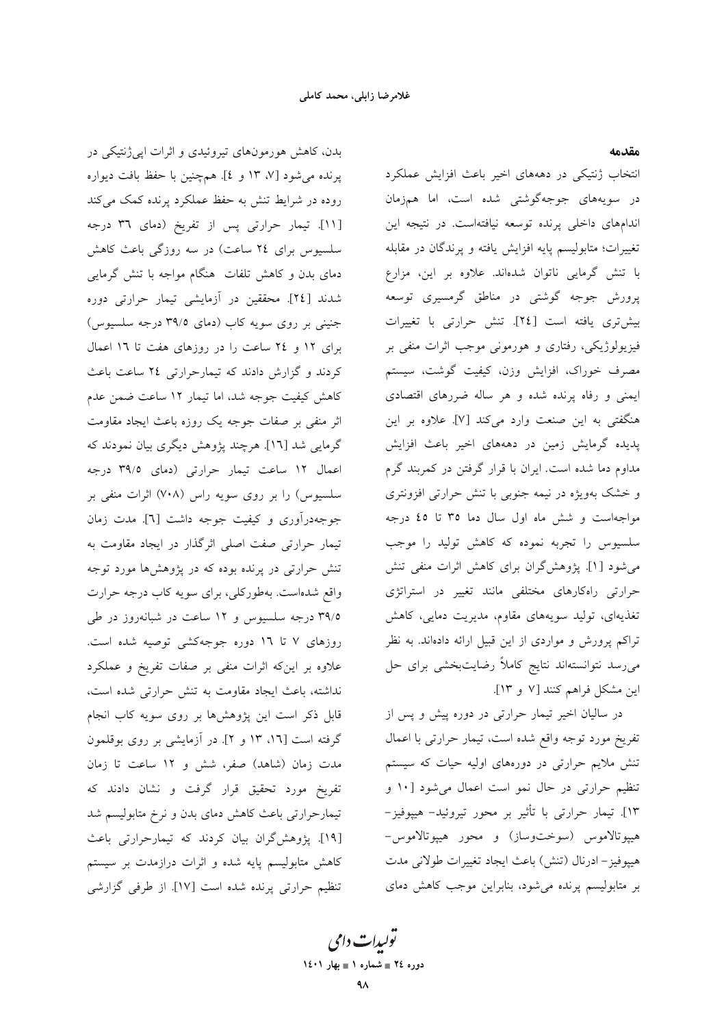بدن، کاهش هورمونهای تیروئیدی و اثرات ایی ژنتیکی در یرنده می شود [۷، ۱۳ و ٤]. همچنین با حفظ بافت دیواره روده در شرایط تنش به حفظ عملکرد پرنده کمک میکند [۱۱]. تیمار حرارتی پس از تفریخ (دمای ۳٦ درجه سلسیوس برای ٢٤ ساعت) در سه روزگی باعث كاهش دمای بدن و کاهش تلفات هنگام مواجه با تنش گرمایی شدند [٢٤]. محققین در آزمایشی تیمار حرارتی دوره جنینی بر روی سویه کاب (دمای ۳۹/۵ درجه سلسیوس) برای ١٢ و ٢٤ ساعت را در روزهای هفت تا ١٦ اعمال کردند و گزارش دادند که تیمارحرارتی ۲٤ ساعت باعث كاهش كيفيت جوجه شد، اما تيمار ١٢ ساعت ضمن عدم اثر منفی بر صفات جوجه یک روزه باعث ایجاد مقاومت گرمایی شد [۱۲]. هرچند پژوهش دیگری بیان نمودند که اعمال ١٢ ساعت تيمار حرارتي (دماي ٣٩/٥ درجه سلسیوس) را بر روی سویه راس (۷۰۸) اثرات منفی بر جوجهدرآوري و كيفيت جوجه داشت [٦]. مدت زمان تیمار حرارتی صفت اصلی اثرگذار در ایجاد مقاومت به تنش حرارتی در پرنده بوده که در پژوهشها مورد توجه واقع شدهاست. بهطورکلی، برای سویه کاب درجه حرارت ۳۹/۵ درجه سلسیوس و ۱۲ ساعت در شبانهروز در طی روزهای ۷ تا ۱۶ دوره جوجهکشی توصیه شده است. علاوه بر اینکه اثرات منفی بر صفات تفریخ و عملکرد نداشته، باعث ایجاد مقاومت به تنش حرارتی شده است، قابل ذکر است این پژوهشها بر روی سویه کاب انجام گرفته است [۱۳، ۱۳ و ۲]. در آزمایشی بر روی بوقلمون مدت زمان (شاهد) صفر، شش و ١٢ ساعت تا زمان تفریخ مورد تحقیق قرار گرفت و نشان دادند که تیمارحرارتی باعث کاهش دمای بدن و نرخ متابولیسم شد [١٩]. يژوهش گران بيان كردند كه تيمارحرارتي باعث کاهش متابولیسم پایه شده و اثرات درازمدت بر سیستم تنظیم حرارتی پرنده شده است [۱۷]. از طرفی گزارشی

#### مقدمه

انتخاب ژنتیکی در دهههای اخیر باعث افزایش عملکرد در سویههای جوجهگوشتی شده است، اما همزمان اندامهای داخلی پرنده توسعه نیافتهاست. در نتیجه این تغییرات؛ متابولیسم پایه افزایش یافته و پرندگان در مقابله با تنش گرمایی ناتوان شدهاند. علاوه بر این، مزارع پرورش جوجه گوشتی در مناطق گرمسیری توسعه بيش ترى يافته است [٢٤]. تنش حرارتى با تغييرات فیزیولوژیکی، رفتاری و هورمونی موجب اثرات منفی بر مصرف خوراک، افزایش وزن، کیفیت گوشت، سیستم ایمنی و رفاه پرنده شده و هر ساله ضررهای اقتصادی هنگفتی به این صنعت وارد میکند [۷]. علاوه بر این پدیده گرمایش زمین در دهههای اخیر باعث افزایش مداوم دما شده است. ایران با قرار گرفتن در کمربند گرم و خشک بهویژه در نیمه جنوبی با تنش حرارتی افزونتری مواجهاست و شش ماه اول سال دما ٣٥ تا ٤٥ درجه سلسیوس را تجربه نموده که کاهش تولید را موجب می شود [۱]. پژوهش گران برای کاهش اثرات منفی تنش حرارتی راهکارهای مختلفی مانند تغییر در استراتژی تغذیهای، تولید سویههای مقاوم، مدیریت دمایی، کاهش تراکم پرورش و مواردی از این قبیل ارائه دادهاند. به نظر میرسد نتوانستهاند نتایج کاملاً رضایتبخشی برای حل این مشکل فراهم کنند [۷ و ۱۳].

در سالیان اخیر تیمار حرارتی در دوره پیش و پس از تفريخ مورد توجه واقع شده است، تيمار حرارتي با اعمال تنش ملایم حرارتی در دورههای اولیه حیات که سیستم تنظیم حرارتی در حال نمو است اعمال میشود [۱۰ و ١٣]. تيمار حرارتي با تأثير بر محور تيروئيد- هيپوفيز-هيپوتالاموس (سوختوساز) و محور هيپوتالاموس-هييوفيز – ادرنال (تنش) باعث ايجاد تغييرات طولاني مدت بر متابولیسم پرنده میشود، بنابراین موجب کاهش دمای

تو*لیدات دامی* دوره ٢٤ = شماره ١ = بهار ١٤٠١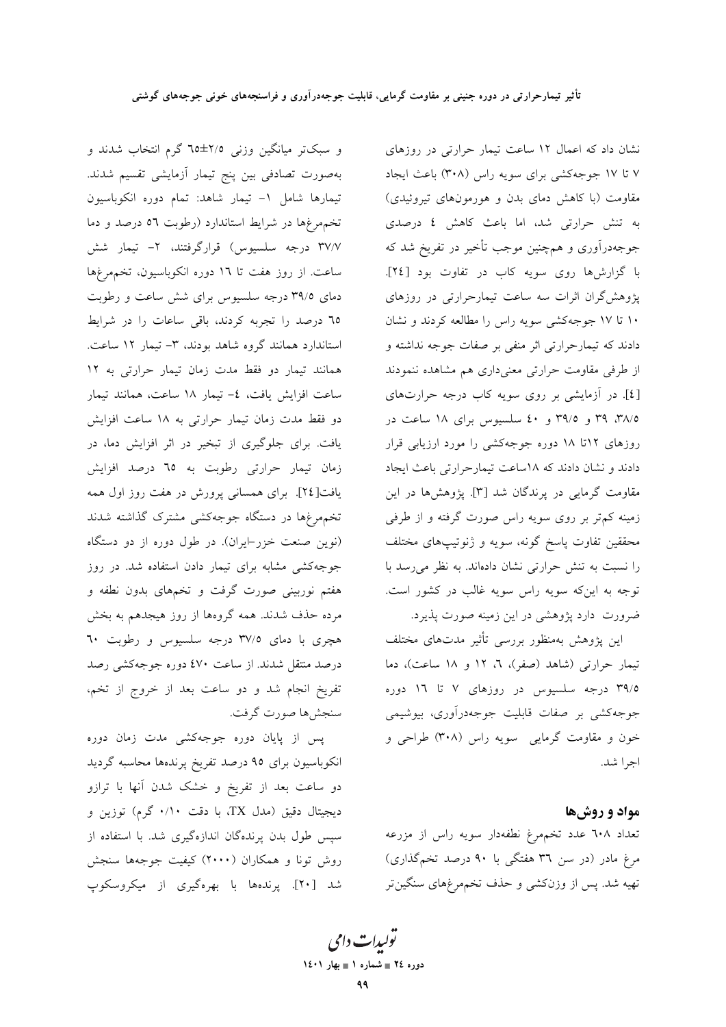و سبکتر میانگین وزنی ۲/۵±۲۵ گرم انتخاب شدند و بهصورت تصادفي بين پنج تيمار أزمايشي تقسيم شدند. تیمارها شامل ١- تیمار شاهد: تمام دوره انکوباسیون تخمهمرغها در شرايط استاندارد (رطوبت ٥٦ درصد و دما ۳۷/۷ درجه سلسیوس) قرارگرفتند، ۲- تیمار شش ساعت. از روز هفت تا ١٦ دوره انکوباسیون، تخمهرغها دمای ۳۹/۵ درجه سلسیوس برای شش ساعت و رطوبت ٦٥ درصد را تجربه كردند، باقى ساعات را در شرايط استاندارد همانند گروه شاهد بودند، ۳- تیمار ۱۲ ساعت. همانند تیمار دو فقط مدت زمان تیمار حرارتی به ۱۲ ساعت افزایش یافت، ٤- تیمار ١٨ ساعت، همانند تیمار دو فقط مدت زمان تیمار حرارتی به ۱۸ ساعت افزایش یافت. برای جلوگیری از تبخیر در اثر افزایش دما، در زمان تیمار حرارتی رطوبت به ٦٥ درصد افزایش یافت[۲٤]. برای همسانی پرورش در هفت روز اول همه تخمهرغها در دستگاه جوجهکشی مشترک گذاشته شدند (نوین صنعت خزر-ایران). در طول دوره از دو دستگاه جوجهکشی مشابه برای تیمار دادن استفاده شد. در روز هفتم نوربینی صورت گرفت و تخمهای بدون نطفه و مرده حذف شدند. همه گروهها از روز هیجدهم به بخش هچری با دمای ۳۷/۵ درجه سلسیوس و رطوبت ٦٠ درصد منتقل شدند. از ساعت ٤٧٠ دوره جوجهکشی رصد تفریخ انجام شد و دو ساعت بعد از خروج از تخم، سنجش ها صورت گرفت.

پس از پایان دوره جوجهکشی مدت زمان دوره انکوباسیون برای ۹۵ درصد تفریخ پرندهها محاسبه گردید دو ساعت بعد از تفریخ و خشک شدن آنها با ترازو ديجيتال دقيق (مدل TX، با دقت ۰/۱۰ گرم) توزين و سپس طول بدن پرندهگان اندازهگیری شد. با استفاده از روش تونا و همکاران (۲۰۰۰) کیفیت جوجهها سنجش شد [۲۰]. پرندهها با بهرهگیری از میکروسکوپ

نشان داد که اعمال ١٢ ساعت تيمار حرارتي در روزهاى ۷ تا ۱۷ جوجهکشی برای سویه راس (۳۰۸) باعث ایجاد مقاومت (با کاهش دمای بدن و هورمونهای تیروئیدی) به تنش حرارتی شد، اما باعث کاهش ٤ درصدی جوجهدرآوری و همچنین موجب تأخیر در تفریخ شد که با گزارشها روی سویه کاب در تفاوت بود [٢٤]. پژوهشگران اثرات سه ساعت تیمارحرارتی در روزهای ۱۰ تا ۱۷ جوجهکشی سویه راس را مطالعه کردند و نشان دادند که تیمارحرارتی اثر منفی بر صفات جوجه نداشته و از طرفی مقاومت حرارتی معنیداری هم مشاهده ننمودند [٤]. در آزمایشی بر روی سویه کاب درجه حرارتهای ۳۸/۵، ۳۹ و ۳۹/۵ و ٤٠ سلسيوس براي ١٨ ساعت در روزهای ۱۲تا ۱۸ دوره جوجهکشی را مورد ارزیابی قرار دادند و نشان دادند که ١٨ساعت تيمارحرارتي باعث ايجاد مقاومت گرمایی در پرندگان شد [۳]. پژوهشها در این زمینه کم تر بر روی سویه راس صورت گرفته و از طرفی محققین تفاوت پاسخ گونه، سویه و ژنوتیپهای مختلف را نسبت به تنش حرارتی نشان دادهاند. به نظر می رسد با توجه به اینکه سویه راس سویه غالب در کشور است. ضرورت دارد پژوهشی در این زمینه صورت پذیرد.

این پژوهش بهمنظور بررسی تأثیر مدتهای مختلف تیمار حرارتی (شاهد (صفر)، ٦، ١٢ و ١٨ ساعت)، دما ۳۹/۵ درجه سلسیوس در روزهای ۷ تا ۱٦ دوره جوجهکشی بر صفات قابلیت جوجهدرآوری، بیوشیمی خون و مقاومت گرمایی سویه راس (۳۰۸) طراحی و اجرا شد.

#### مواد و روشها

تعداد ٦٠٨ عدد تخمهرغ نطفهدار سويه راس از مزرعه مرغ مادر (در سن ٣٦ هفتگي با ٩٠ درصد تخمگذاري) تهیه شد. پس از وزنکشی و حذف تخمهرغهای سنگین تر

تو*لیدات دامی* دوره ٢٤ = شماره ١ = بهار ١٤٠١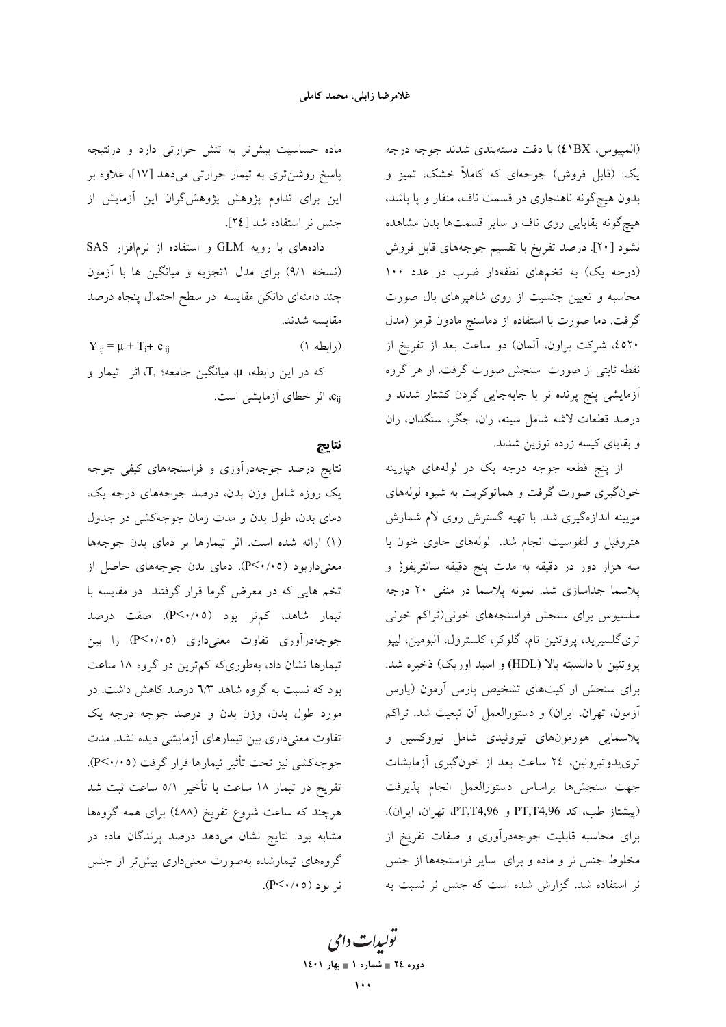(المپیوس، ۱BX) با دقت دستهبندی شدند جوجه درجه یک: (قابل فروش) جوجهای که کاملاً خشک، تمیز و بدون هیچگونه ناهنجاری در قسمت ناف، منقار و پا باشد، هیچگونه بقایایی روی ناف و سایر قسمتها بدن مشاهده نشود [۲۰]. درصد تفریخ با تقسیم جوجههای قابل فروش (درجه یک) به تخمهای نطفهدار ضرب در عدد ۱۰۰ محاسبه و تعیین جنسیت از روی شاهپرهای بال صورت گرفت. دما صورت با استفاده از دماسنج مادون قرمز (مدل ٤٥٢٠، شركت براون، آلمان) دو ساعت بعد از تفريخ از نقطه ثابتی از صورت ًسنجش صورت گرفت. از هر گروه ۔<br>آزمایشی پنج پرندہ نر با جابهجایی گردن کشتار شدند و درصد قطعات لاشه شامل سینه، ران، جگر، سنگدان، ران و بقایای کیسه زرده توزین شدند.

از پنج قطعه جوجه درجه یک در لولههای هپارینه خونگیری صورت گرفت و هماتوکریت به شیوه لولههای .<br>مویینه اندازهگیری شد. با تهیه گسترش روی لام شمارش هتروفیل و لنفوسیت انجام شد. لولههای حاوی خون با سه هزار دور در دقیقه به مدت پنج دقیقه سانتریفوژ و پلاسما جداسازی شد. نمونه پلاسما در منفی ۲۰ درجه سلسیوس برای سنجش فراسنجههای خونی(تراکم خونی تری گلسیرید، پروتئین تام، گلوکز، کلسترول، آلبومین، لیپو پروتئین با دانسیته بالا (HDL) و اسید اوریک) ذخیره شد. برای سنجش از کیتهای تشخیص پارس آزمون (پارس آزمون، تهران، ایران) و دستورالعمل آن تبعیت شد. تراکم پلاسمایی هورمونهای تیروئیدی شامل تیروکسین و تری یدوتیرونین، ۲٤ ساعت بعد از خونگیری آزمایشات جهت سنجشها براساس دستورالعمل انجام پذيرفت (پیشتاز طب، کد PT,T4,96 و PT,T4,96، تهران، ایران). برای محاسبه قابلیت جوجهدرآوری و صفات تفریخ از مخلوط جنس نر و ماده و برای سایر فراسنجهها از جنس نر استفاده شد. گزارش شده است که جنس نر نسبت به

ماده حساسیت بیش تر به تنش حرارتی دارد و درنتیجه پاسخ روشنتری به تیمار حرارتی میدهد [۱۷]، علاوه بر این برای تداوم پژوهش پژوهشگران این آزمایش از جنس نر استفاده شد [٢٤].

دادههای با رویه GLM و استفاده از نرمافزار SAS (نسخه ۹/۱) برای مدل اتجزیه و میانگین ها با آزمون چند دامنهای دانکن مقایسه ً در سطح احتمال پنجاه درصد مقايسه شدند.

 $Y_{ij} = \mu + T_i + e_{ii}$  $($ ابطه ۱)

که در این رابطه، µ، میانگین جامعه؛ ;T، اثر تیمار و e<sub>ii</sub>، اثر خطای آزمایشی است.

### نتايج

نتایج درصد جوجهدرآوری و فراسنجههای کیفی جوجه یک روزه شامل وزن بدن، درصد جوجههای درجه یک، دمای بدن، طول بدن و مدت زمان جوجهکشی در جدول (۱) ارائه شده است. اثر تیمارها بر دمای بدن جوجهها معنیداربود (۴/۰/٥). دمای بدن جوجههای حاصل از تخم هایی که در معرض گرما قرار گرفتند در مقایسه با تیمار شاهد، کم,تر بود (P<۰/۰۵). صفت درصد جوجهدرآوری تفاوت معنی داری (P<۰/۰۵) را بین تیمارها نشان داد، بهطوریکه کمترین در گروه ۱۸ ساعت بود که نسبت به گروه شاهد ٦/٣ درصد کاهش داشت. در مورد طول بدن، وزن بدن و درصد جوجه درجه یک تفاوت معنیداری بین تیمارهای آزمایشی دیده نشد. مدت جوجهكشي نيز تحت تأثير تيمارها قرار گرفت (٣<٠/٠٥). تفریخ در تیمار ۱۸ ساعت با تأخیر ۵/۱ ساعت ثبت شد هرچند که ساعت شروع تفریخ (٤٨٨) برای همه گروهها مشابه بود. نتایج نشان می<mark>دهد درصد پرندگان ماده در</mark> گروههای تیمارشده بهصورت معنیداری بیش تر از جنس  $(P<\cdot/\cdot \circ)$ نړ بو د (۲۰ $(P<\cdot$ 

> تو*لیدات دامی* دوره ٢٤ = شماره ١ = بهار ١٤٠١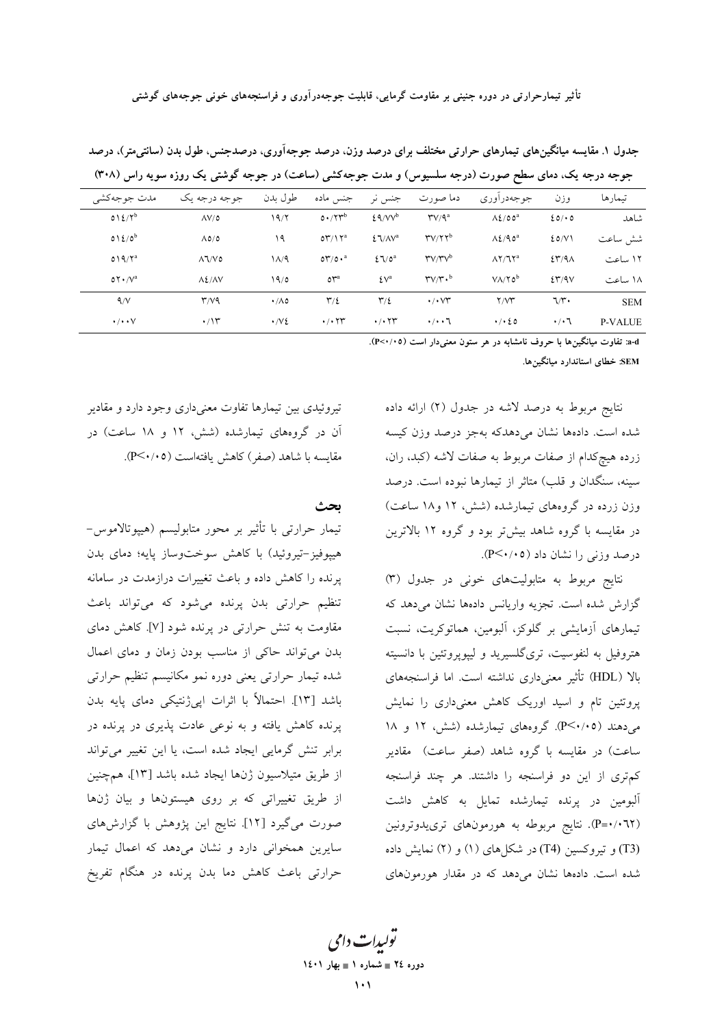تأثیر تیمارحرارتی در دوره جنینی بر مقاومت گرمایی، قابلیت جوجهدرآوری و فراسنجههای خونی جوجههای گوشتی

| جوجه درجه یک، دمای سطح صورت (درجه سنسیوس) و مدت جوجه دسی (ساعت) در جوجه دوستی یک روره سویه راس (۱۰۸۰) |                    |                    |                                           |                                      |                                                            |                             |                                              |                |  |
|-------------------------------------------------------------------------------------------------------|--------------------|--------------------|-------------------------------------------|--------------------------------------|------------------------------------------------------------|-----------------------------|----------------------------------------------|----------------|--|
| مدت جوجهكشي                                                                                           | جوجه درجه يک       | طول بدن            | جنس ماده                                  | جنس نر                               | دما صورت                                                   | جوجەدرأورى                  | وزن                                          | تىمار ھا       |  |
| $012/Y^b$                                                                                             | $\Delta V/\delta$  | 19/7               | $0.77^{b}$                                | $29/VV^b$                            | $\mathbf{Y}/\mathbf{Q}^a$                                  | $\Lambda$ 2/00 <sup>a</sup> | 20/0                                         | شاهد           |  |
| $012/0^b$                                                                                             | $\Lambda$ 0/0      | ۱۹                 | $\mathfrak{O}\mathfrak{r}/\mathfrak{I}^a$ | $\S$ $\sqrt{2}$                      | $\mathbf{r} \mathbf{v}/\mathbf{v}$                         | $\Lambda$ 2/90 <sup>a</sup> | 20/V                                         | شش ساعت        |  |
| $019/Y^a$                                                                                             | $\Lambda$ 1/ $V$ ٥ | ۱۸/۹               | $0^{\prime\prime}/0 \cdot^a$              | $27/0^a$                             | $\mathbf{r} \mathbf{v}/\mathbf{r} \mathbf{v}^{\mathsf{b}}$ | $\Lambda$ Y/JY <sup>a</sup> | $\S$ <sup><math>\gamma</math></sup> $\alpha$ | ١٢ ساعت        |  |
| $OY \cdot /V^a$                                                                                       | $\Lambda$ $2/NV$   | 19/0               | o <sup>va</sup>                           | $\mathcal{L} \vee$ <sup>a</sup>      | $r_{V}/r \cdot b$                                          | $V/\Upsilon_0$ <sup>b</sup> | 257/9V                                       | ۱۸ ساعت        |  |
| 4/V                                                                                                   | r/vq               | $\cdot/\Lambda$ 0  | $\Upsilon/\Sigma$                         | $\mathbf{r}/\mathbf{r}$              | $\cdot$ / $\cdot$ $\vee\tau$                               | Y/YY                        | ٦/٣٠                                         | <b>SEM</b>     |  |
| $\cdot/\cdot\cdot\vee$                                                                                | $\cdot$ /۱۳        | $\cdot$ / $\vee$ 2 | $\cdot$ / $\cdot$ $\uparrow\uparrow$      | $\cdot$ / $\cdot$ $\uparrow\uparrow$ | $\cdot/\cdot\cdot7$                                        | $\cdot$ / $\cdot$ 20        | $\cdot/\cdot$ 7                              | <b>P-VALUE</b> |  |

جدول ۱. مقایسه میانگینهای تیمارهای حرارتی مختلف برای درصد وزن، درصد جوجهآوری، درصدجنس، طول بدن (سانتیمتر)، درصد درجه درجه یکی دولت مطع صدرت (درجه میاسیدمی) و وادت حدجه کشور (میاهت) در جدجه گرشتر یکی دوزه میدوند بامدر (۳۰۸)

a-d: تفاوت میانگینها با حروف نامشابه در هر ستون معنی دار است (۲۰۰۵-P).

SEM: خطای استاندارد میانگینها.

نتايج مربوط به درصد لاشه در جدول (٢) ارائه داده شده است. دادهها نشان می دهدکه بهجز درصد وزن کیسه زرده هیچکدام از صفات مربوط به صفات لاشه (کبد، ران، سینه، سنگدان و قلب) متاثر از تیمارها نبوده است. درصد وزن زرده در گروههای تیمارشده (شش، ۱۲ و ۱۸ ساعت) در مقایسه با گروه شاهد بیشتر بود و گروه ۱۲ بالاترین درصد وزنی را نشان داد (P<۰/۰۵).

نتایج مربوط به متابولیتهای خونی در جدول (۳) گزارش شده است. تجزیه واریانس دادهها نشان میدهد که تیمارهای آزمایشی بر گلوکز، آلبومین، هماتوکریت، نسبت هتروفیل به لنفوسیت، تریگلسیرید و لیپوپروتئین با دانسیته بالا (HDL) تأثير معنىداري نداشته است. اما فراسنجههاي پروتئین تام و اسید اوریک کاهش معنیداری را نمایش می دهند (۴/۰/۰۵). گروههای تیمارشده (شش، ۱۲ و ۱۸ ساعت) در مقایسه با گروه شاهد (صفر ساعت) مقادیر كم ترى از اين دو فراسنجه را داشتند. هر چند فراسنجه آلبومین در پرنده تیمارشده تمایل به کاهش داشت (P=۰/۰٦۲). نتایج مربوطه به هورمونهای ترییدوترونین (T3) و تیروکسین (T4) در شکلهای (۱) و (۲) نمایش داده شده است. دادهها نشان می دهد که در مقدار هورمونهای

تیروئیدی بین تیمارها تفاوت معنیداری وجود دارد و مقادیر آن در گروههای تیمارشده (شش، ۱۲ و ۱۸ ساعت) در مقایسه با شاهد (صفر) کاهش یافتهاست (۴/۰/٥).

ىحث

تیمار حرارتی با تأثیر بر محور متابولیسم (هیپوتالاموس– هييوفيز-تيروئيد) با كاهش سوختوساز يايه؛ دماي بدن پرنده را کاهش داده و باعث تغییرات درازمدت در سامانه تنظیم حرارتی بدن پرنده میشود که میتواند باعث مقاومت به تنش حرارتی در پرنده شود [۷]. کاهش دمای بدن میتواند حاکی از مناسب بودن زمان و دمای اعمال شده تیمار حرارت<sub>ی</sub> یعنی دوره نمو مکانیسم تنظیم حرارت<sub>ی</sub> باشد [۱۳]. احتمالاً با اثرات ایی ژنتیکی دمای پایه بدن پرنده کاهش یافته و به نوعی عادت پذیری در پرنده در برابر تنش گرمایی ایجاد شده است، یا این تغییر میتواند از طريق متيلاسيون ژن\ا ايجاد شده باشد [١٣]، همچنين از طریق تغییراتی که بر روی هیستونها و بیان ژنها صورت میگیرد [۱۲]. نتایج این پژوهش با گزارشهای سایرین همخوانی دارد و نشان میدهد که اعمال تیمار حرارتی باعث کاهش دما بدن پرنده در هنگام تفریخ

> تو*لیدات دامی* دوره ٢٤ = شماره ١ = بهار ١٤٠١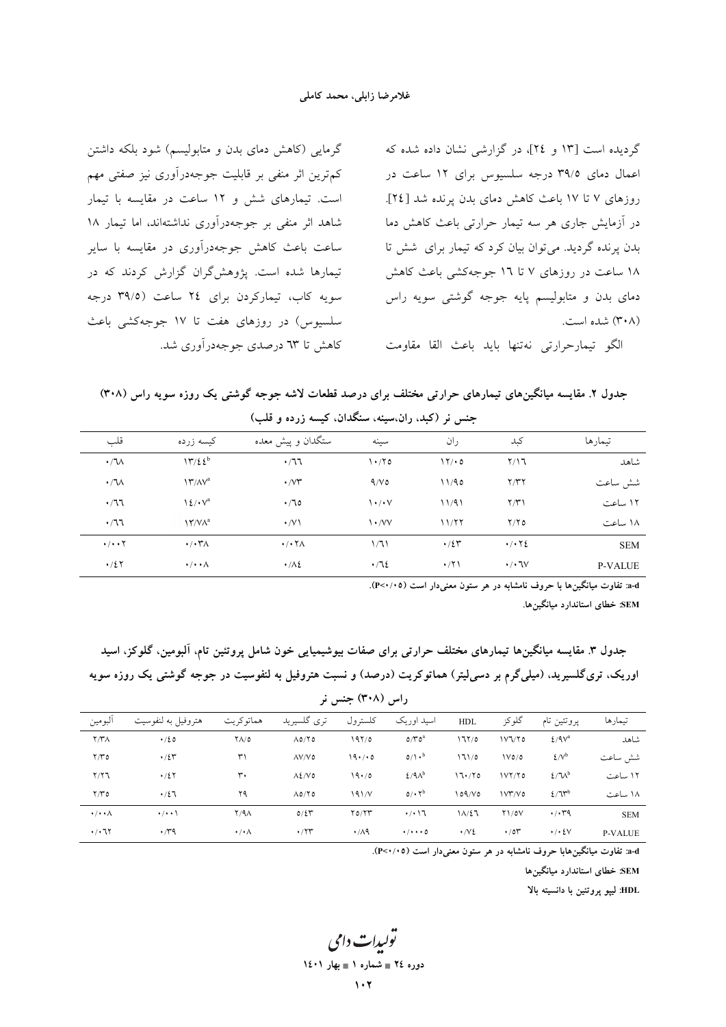گرمایی (کاهش دمای بدن و متابولیسم) شود بلکه داشتن کم ترین اثر منفی بر قابلیت جوجهدرآوری نیز صفتی مهم است. تیمارهای شش و ۱۲ ساعت در مقایسه با تیمار شاهد اثر منفی بر جوجهدرآوری نداشتهاند، اما تیمار ۱۸ ساعت باعث کاهش جوجهدرآوری در مقایسه با سایر تیمارها شده است. یژوهش گران گزارش کردند که در سویه کاب، تیمارکردن برای ٢٤ ساعت (٣٩/٥ درجه سلسیوس) در روزهای هفت تا ۱۷ جوجهکشی باعث کاهش تا ٦٣ درصدي جوجهدرآوري شد.

گردیده است [۱۳ و ٢٤]، در گزارشی نشان داده شده که اعمال دمای ۳۹/۵ درجه سلسیوس برای ۱۲ ساعت در روزهای ۷ تا ۱۷ باعث کاهش دمای بدن پرنده شد [۲٤]. در آزمایش جاری هر سه تیمار حرارتی باعث کاهش دما بدن یرنده گردید. می توان بیان کرد که تیمار برای شش تا ۱۸ ساعت در روزهای ۷ تا ۱7 جوجهکشی باعث کاهش دمای بدن و متابولیسم پایه جوجه گوشتی سویه راس (۳۰۸) شده است.

الكو تيمارحرارتي نهتنها بايد باعث القا مقاومت

جدول ۲. مقایسه میانگینهای تیمارهای حرارتی مختلف برای درصد قطعات لاشه جوجه گوشتی یک روزه سویه راس (۳۰۸) جنس نر (کبد، ران،سینه، سنگدان، کیسه زرده و قلب)

|                |                                           | .                 |             | . .<br>$\cdot$ $\cdot$                |                                                        |                               |  |  |
|----------------|-------------------------------------------|-------------------|-------------|---------------------------------------|--------------------------------------------------------|-------------------------------|--|--|
| تىمار ھا       | كبد                                       | ران               | سينه        | ستگدان و پیش معده                     | کیسه زرده                                              | قلب                           |  |  |
| شاهد           | Y/17                                      | 17/0              | $\cdot$     | .77                                   | 17/22 <sup>b</sup>                                     | $\cdot / \sqrt{ }$            |  |  |
| شش ساعت        | Y/YY                                      | 11/90             | 9/V         | $\cdot$ / $\vee\tau$                  | $\Upsilon/\Lambda V^a$                                 | $\cdot / \sqrt{ }$            |  |  |
| ۱۲ ساعت        | Y/Y                                       | 11/91             | ۰/۰۷        | $\cdot$ / 70                          | $\frac{1}{2}$ $\sqrt{a}$                               | $\cdot$ /77                   |  |  |
| ۱۸ ساعت        | Y/Y                                       | 11/77             | $\cdot$ /VV | $\cdot$ /V \                          | $\mathsf{N}^{\mathsf{r}}/\mathsf{V}\Lambda^\mathrm{a}$ | .77                           |  |  |
| <b>SEM</b>     | $\cdot$ / $\cdot$ $\cdot$ $\cdot$ $\cdot$ | $\cdot$ /2 $\tau$ | 1/71        | $\cdot$ / $\cdot$ $\uparrow$ $\wedge$ | $\cdot$ / $\cdot$ ۳ $\wedge$                           | $\cdot/\cdot\cdot$ $\Upsilon$ |  |  |
| <b>P-VALUE</b> | $\cdot/\cdot$ JV                          | $\cdot$ /٢١       | $\cdot$ /72 | $\cdot/\lambda$                       | $\cdot/\cdot\cdot\wedge$                               | $\cdot/27$                    |  |  |
|                |                                           |                   |             |                                       |                                                        |                               |  |  |

a-d: تفاوت میانگینها با حروف نامشابه در هر ستون معنی دار است (۱۰۵×۴).

SEM: خطای استاندارد میانگینها.

| راس (۳۰۸) جنس نر                  |                      |                      |                           |             |                           |                    |                     |                                   |                |  |
|-----------------------------------|----------------------|----------------------|---------------------------|-------------|---------------------------|--------------------|---------------------|-----------------------------------|----------------|--|
| البومين                           | هتروفيل به لنفوسيت   | هماتوكريت            | تری گلسیرید               | كلسترول     | اسيد اوريک                | <b>HDL</b>         | گلوکز               | پروتئين تام                       | تيمارها        |  |
| Y/Y                               | $\cdot/20$           | $Y\Lambda/\sigma$    | $\Lambda$ 0/ $\Upsilon$ 0 | 197/0       | $O/V^a$                   | ۱٦٢/٥              | 1V1/Y0              | $2/9V^a$                          | شاهد           |  |
| Y/Y                               | $\cdot/25$           | ٣١                   | $\Lambda V/V$ ٥           | 19.70       | $0/\lambda$ <sup>b</sup>  | 171/0              | 1V0/0               | $\mathcal{L}/\mathcal{N}^{\rm b}$ | شش ساعت        |  |
| $Y/Y$ ٦                           | $\cdot/2$ $\Upsilon$ | ٣.                   | $\Lambda$ ٤/ $\vee$ ٥     | 19.70       | $2/9A^b$                  | 17.70              | 1VY/Y               | $2/\nu^b$                         | ۱۲ ساعت        |  |
| Y/Y                               | $\cdot/27$           | ۲۹                   | $\Lambda$ 0/ $\Upsilon$ 0 | 191/V       | 0/4                       | 109/V0             | V''/V0              | $2/7r^{b}$                        | ۱۸ ساعت        |  |
| $\cdot/\cdot\cdot\wedge$          | $\cdot$ / $\cdot$ \  | $Y/4\Lambda$         | $0/\Sigma r$              | Y0/YY       | $\cdot$ / $\cdot$ $\vee$  | 11/27              | $Y\left\{0\right\}$ | $\cdot$ / $\cdot$ $4$             | <b>SEM</b>     |  |
| $\cdot$ / $\cdot$ $\cdot$ $\cdot$ | $\cdot$ / $\gamma$   | $\cdot/\cdot \wedge$ | $\cdot$ /۲۳               | $\cdot$ /19 | $\cdot/\cdot\cdot\cdot$ 0 | $\cdot$ / $\vee$ 2 | $\cdot$ /01         | $\cdot$ / $\cdot$ { $\vee$        | <b>P-VALUE</b> |  |

جدول ٣. مقايسه ميانگينها تيمارهاي مختلف حرارتي براي صفات بيوشيميايي خون شامل يروتئين تام، آلبومين، گلوكز، اسيد اوریک، تری گلسیرید، (میلی گرم بر دسی لیتر) هماتوکریت (درصد) و نسبت هتروفیل به لنفوسیت در جوجه گوشتی یک روزه سویه

a-d: تفاوت میانگینهابا حروف نامشابه در هر ستون معنیدار است (۴<۰/۰۵).

SEM: خطای استاندارد میانگینها

HDL: لييو يروتئين با دانسيته بالا

يولىدا**ت** دامى دوره ٢٤ = شماره ١ = بهار ١٤٠١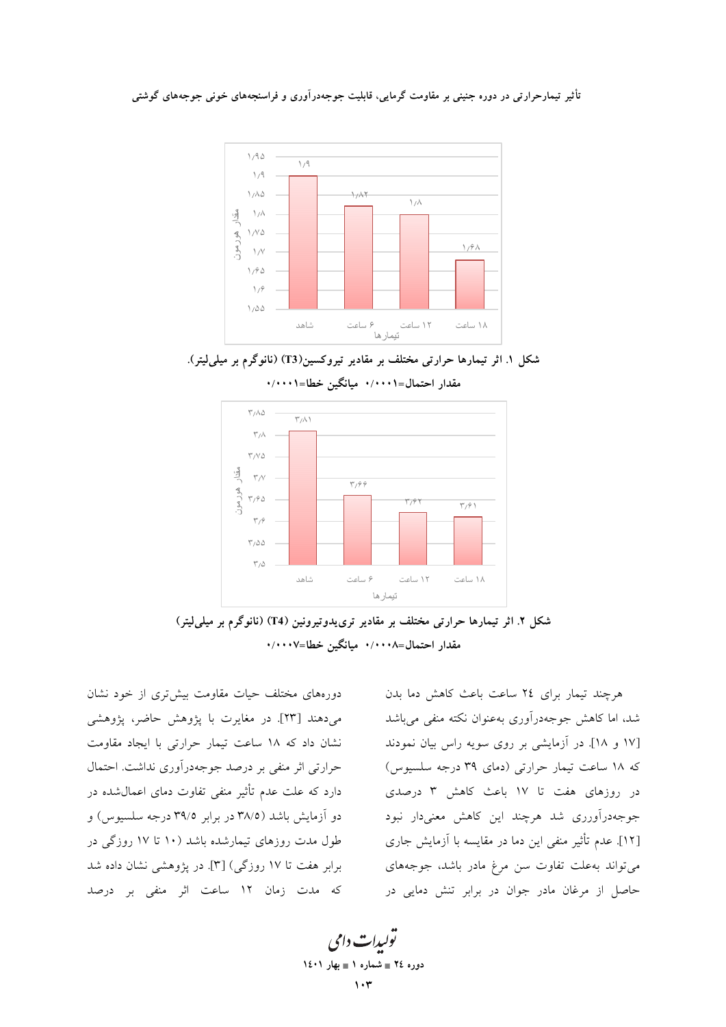نأثیر تیمارحرارتی در دوره جنینی بر مقاومت گرمایی، قابلیت جوجهدرآوری و فراسنجههای خونی جوجههای گوشتی





مقدار احتمال=۰/۰۰۰۱ میانگین خطا=۰/۰۰۰۱



شکل ۲. اثر تیمارها حرارتی مختلف بر مقادیر ترییدوتیرونین (T4) (نانوگرم بر میل*ی*لیتر) مقدار احتمال=۰/۰۰۰۸ میانگین خطا=۰/۰۰۰۷

دورههای مختلف حیات مقاومت بیشتروی از خود نشان میدهند [۲۳]. در مغایرت با پژوهش حاضر، پژوهشی نشان داد که ۱۸ ساعت تیمار حرارتی با ایجاد مقاومت حرارتی اثر منفی بر درصد جوجهدراوری نداشت. احتمال دارد که علت عدم تاثیر منفی تفاوت دمای اعمالشده در دو ازمایش باشد (۳۸/۵ در برابر ۳۹/۵ درجه سلسیوس) و طول مدت روزهای تیمارشده باشد (۱۰ تا ۱۷ روزگی در برابر هفت تا ١٧ روزگی) [٣]. در پژوهشی نشان داده شد كه مدت زمان ١٢ ساعت اثر منفى بر درصد

هر چند تیمار برای ٢٤ ساعت باعث كاهش دما بدن شد، اما کاهش جوجهدرآوری بهعنوان نکته منفی می باشد ۱۷ و ۱۸]. در ازمایشی بر روی سویه راس بیان نمودند که ۱۸ ساعت تیمار حرارتی (دمای ۳۹ درجه سلسیوس) در روزهای هفت تا ١٧ باعث كاهش ٣ درصدی جوجهدراورری شد هرچند این کاهش معنیدار نبود [۱۲]. عدم تاثیر منفی این دما در مقایسه با ازمایش جاری می تواند به علت تفاوت سن مرغ مادر باشد، جوجههای حاصل از مرغان مادر جوان در برابر تنش دمایی در

تولیدات دامی **1401 - 1 -24 103**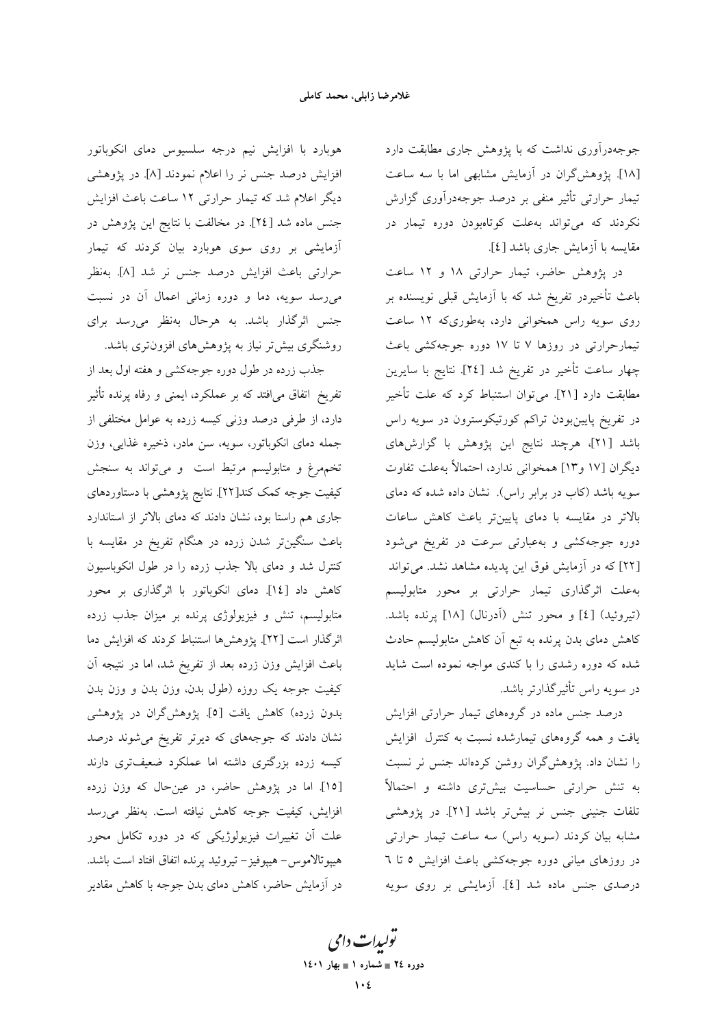جوجهدرآوری نداشت که با پژوهش جاری مطابقت دارد [۱۸]. پژوهش گران در آزمایش مشابهی اما با سه ساعت تیمار حرارتی تأثیر منفی بر درصد جوجهدرآوری گزارش نکردند که میتواند بهعلت کوتامبودن دوره تیمار در مقايسه با آزمايش جاري باشد [٤].

در پژوهش حاضر، تیمار حرارتی ١٨ و ١٢ ساعت باعث تأخیردر تفریخ شد که با آزمایش قبلی نویسنده بر روی سویه راس همخوانی دارد، بهطوریکه ۱۲ ساعت تیمارحرارتی در روزها ۷ تا ۱۷ دوره جوجهکشی باعث چهار ساعت تأخیر در تفریخ شد [٢٤]. نتایج با سایرین مطابقت دارد [۲۱]. میتوان استنباط کرد که علت تأخیر در تفریخ پایینبودن تراکم کورتیکوسترون در سویه راس باشد [۲۱]، هرچند نتایج این پژوهش با گزارشهای ديگران [١٧ و١٣] همخواني ندارد، احتمالاً بهعلت تفاوت سویه باشد (کاب در برابر راس). نشان داده شده که دمای بالاتر در مقایسه با دمای پایینتر باعث کاهش ساعات دوره جوجهکشی و بهعبارتی سرعت در تفریخ می شود [۲۲] که در آزمایش فوق این پدیده مشاهد نشد. میتواند بهعلت اثرگذاری تیمار حرارتی بر محور متابولیسم (تیروئید) [٤] و محور تنش (أدرنال) [١٨] پرنده باشد. کاهش دمای بدن پرنده به تبع آن کاهش متابولیسم حادث شده که دوره رشدی را با کندی مواجه نموده است شاید در سویه راس تأثیرگذارتر باشد.

درصد جنس ماده در گروههای تیمار حرارتی افزایش یافت و همه گروههای تیمارشده نسبت به کنترل افزایش را نشان داد. پژوهشگران روشن کردهاند جنس نر نسبت به تنش حرارتی حساسیت بیشتری داشته و احتمالاً تلفات جنینی جنس نر بیشتر باشد [۲۱]. در پژوهشی مشابه بیان کردند (سویه راس) سه ساعت تیمار حرارتی در روزهای میانی دوره جوجهکشی باعث افزایش ٥ تا ٦ درصدی جنس ماده شد [٤]. آزمایشی بر روی سویه

هوبارد با افزایش نیم درجه سلسیوس دمای انکوباتور افزایش درصد جنس نر را اعلام نمودند [۸]. در پژوهشی دیگر اعلام شد که تیمار حرارتی ۱۲ ساعت باعث افزایش جنس ماده شد [٢٤]. در مخالفت با نتایج این پژوهش در آزمایشی بر روی سوی هوبارد بیان کردند که تیمار حرارتي باعث افزايش درصد جنس نر شد [٨]. بهنظر میرسد سویه، دما و دوره زمانی اعمال آن در نسبت جنس اثرگذار باشد. به هرحال بهنظر میرسد برای روشنگری بیشتر نیاز به پژوهشهای افزونتری باشد.

جذب زرده در طول دوره جوجهکشی و هفته اول بعد از تفریخ اتفاق می|فتد که بر عملکرد، ایمنی و رفاه پرنده تأثیر دارد، از طرفی درصد وزنی کیسه زرده به عوامل مختلفی از جمله دمای انکوباتور، سویه، سن مادر، ذخیره غذایی، وزن تخمهرغ و متابولیسم مرتبط است و میتواند به سنجش كيفيت جوجه كمك كند[٢٢]. نتايج پژوهشي با دستاوردهاي جاری هم راستا بود، نشان دادند که دمای بالاتر از استاندارد باعث سنگینتر شدن زرده در هنگام تفریخ در مقایسه با کنترل شد و دمای بالا جذب زرده را در طول انکوباسیون كاهش داد [١٤]. دماى انكوباتور با اثر گذارى بر محور متابولیسم، تنش و فیزیولوژی پرنده بر میزان جذب زرده اثرگذار است [٢٢]. يژوهشها استنباط كردند كه افزايش دما باعث افزایش وزن زرده بعد از تفریخ شد، اما در نتیجه آن کیفیت جوجه یک روزه (طول بدن، وزن بدن و وزن بدن بدون زرده) كاهش يافت [٥]. پژوهش گران در پژوهشی نشان دادند که جوجههای که دیرتر تفریخ میشوند درصد کیسه زرده بزرگتری داشته اما عملکرد ضعیفتری دارند [١٥]. اما در پژوهش حاضر، در عینحال که وزن زرده افزایش، کیفیت جوجه کاهش نیافته است. بهنظر میرسد علت آن تغییرات فیزیولوژیکی که در دوره تکامل محور هيپوتالاموس- هيپوفيز– تيروئيد پرنده اتفاق افتاد است باشد. در آزمایش حاضر، کاهش دمای بدن جوجه با کاهش مقادیر

تو*لیدات دامی* دوره ٢٤ = شماره ١ = بهار ١٤٠١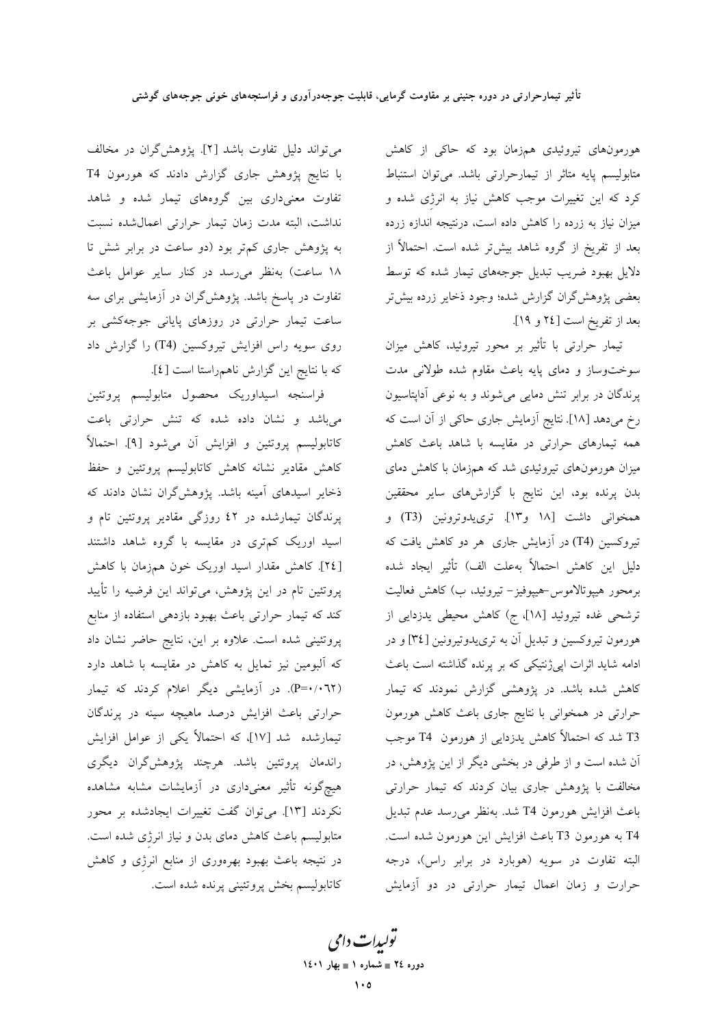هورمونهای تیروئیدی همزمان بود که حاکی از کاهش متابولیسم پایه متاثر از تیمارحرارتی باشد. میتوان استنباط کرد که این تغییرات موجب کاهش نیاز به انرژی شده و میزان نیاز به زرده را کاهش داده است، درنتیجه اندازه زرده بعد از تفریخ از گروه شاهد بیشتر شده است. احتمالاً از دلایل بهبود ضریب تبدیل جوجههای تیمار شده که توسط بعضی پژوهش گران گزارش شده؛ وجود ذخایر زرده بیش تر بعد از تفريخ است [٢٤ و ١٩].

تیمار حرارتی با تأثیر بر محور تیروئید، کاهش میزان سوختوساز و دمای پایه باعث مقاوم شده طولانی مدت پرندگان در برابر تنش دمایی میشوند و به نوعی آداپتاسیون رخ می دهد [۱۸]. نتایج آزمایش جاری حاکی از آن است که همه تیمارهای حرارتی در مقایسه با شاهد باعث کاهش میزان هورمونهای تیروئیدی شد که همزمان با کاهش دمای بدن پرنده بود، این نتایج با گزارشهای سایر محققین همخوانی داشت [۱۸ و۱۳]. تری یدوترونین (T3) و تیروکسین (T4) در آزمایش جاری هر دو کاهش یافت که دليل اين كاهش احتمالاً بهعلت الف) تأثير ايجاد شده برمحور هيپوتالاموس-هيپوفيز- تيروئيد، ب) كاهش فعاليت ترشحی غده تیروئید [۱۸]، ج) کاهش محیطی یدزدایی از هورمون تیروکسین و تبدیل آن به تری یدوتیرونین [۳٤] و در ادامه شاید اثرات اپیژنتیکی که بر پرنده گذاشته است باعث کاهش شده باشد. در پژوهشی گزارش نمودند که تیمار حرارتی در همخوانی با نتایج جاری باعث کاهش هورمون T3 شد که احتمالاً کاهش یدزدایی از هورمون T4 موجب آن شده است و از طرفی در بخشی دیگر از این پژوهش، در مخالفت با پژوهش جاری بیان کردند که تیمار حرارتی باعث افزايش هورمون T4 شد. بهنظر مى رسد عدم تبديل T4 به هورمون T3 باعث افزايش اين هورمون شده است. البته تفاوت در سويه (هوبارد در برابر راس)، درجه حرارت و زمان اعمال تيمار حرارتي در دو آزمايش

می تواند دلیل تفاوت باشد [۲]. پژوهشگران در مخالف با نتایج پژوهش جاری گزارش دادند که هورمون T4 تفاوت معنیداری بین گروههای تیمار شده و شاهد نداشت، البته مدت زمان تيمار حرارتي اعمال شده نسبت به پژوهش جاری کم تر بود (دو ساعت در برابر شش تا ۱۸ ساعت) بهنظر می رسد در کنار سایر عوامل باعث تفاوت در پاسخ باشد. پژوهشگران در آزمایشی برای سه ساعت تیمار حرارتی در روزهای پایانی جوجهکشی بر روی سویه راس افزایش تیروکسین (T4) را گزارش داد كه با نتايج اين گزارش ناهمراستا است [٤].

فراسنجه اسيداوريك محصول متابوليسم پروتئين می باشد و نشان داده شده که تنش حرارتی باعت كاتابوليسم پروتئين و افزايش أن مي شود [٩]. احتمالاً کاهش مقادیر نشانه کاهش کاتابولیسم پروتئین و حفظ ذخایر اسیدهای آمینه باشد. پژوهشگران نشان دادند که پرندگان تیمارشده در ٤٢ روزگی مقادیر پروتئین تام و اسید اوریک کم تری در مقایسه با گروه شاهد داشتند [٢٤]. كاهش مقدار اسيد اوريك خون همزمان با كاهش پروتئین تام در این پژوهش، می تواند این فرضیه را تأیید کند که تیمار حرارتی باعث بهبود بازدهی استفاده از منابع پروتئینی شده است. علاوه بر این، نتایج حاضر نشان داد که آلبومین نیز تمایل به کاهش در مقایسه با شاهد دارد (P=۰/۰٦٢). در آزمایشی دیگر اعلام کردند که تیمار حرارتی باعث افزایش درصد ماهیچه سینه در پرندگان تیمارشده شد [۱۷]، که احتمالاً یکی از عوامل افزایش راندمان پروتئین باشد. هرچند پژوهشگران دیگری هیچگونه تأثیر معنیداری در آزمایشات مشابه مشاهده نکردند [۱۳]. میتوان گفت تغییرات ایجادشده بر محور متابولیسم باعث کاهش دمای بدن و نیاز انرژی شده است. در نتیجه باعث بهبود بهرهوری از منابع انرژی و کاهش كاتابوليسم بخش پروتئيني پرنده شده است.

تو*لیدات دامی* دوره ٢٤ = شماره ١ = بهار ١٤٠١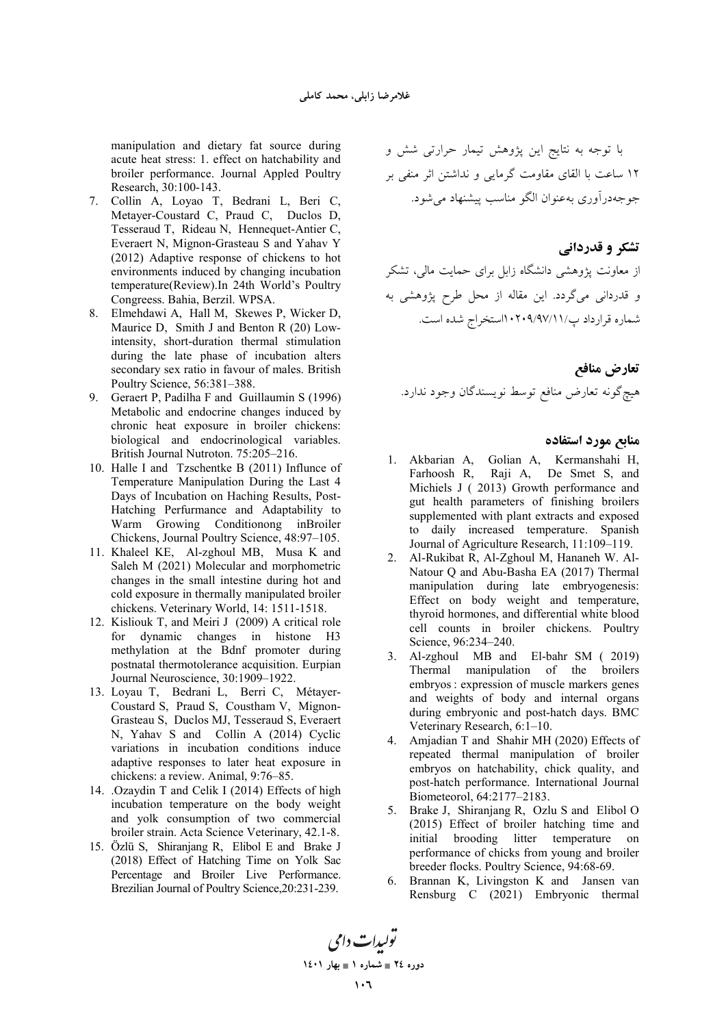manipulation and dietary fat source during acute heat stress: 1. effect on hatchability and broiler performance. Journal Appled Poultry Research, 30:100-143.

- 7. Collin A, Loyao T, Bedrani L, Beri C, Metayer-Coustard C, Praud C, Duclos D, Tesseraud T, Rideau N, Hennequet-Antier C, Everaert N, Mignon-Grasteau S and Yahav Y (2012) Adaptive response of chickens to hot environments induced by changing incubation temperature(Review).In 24th World's Poultry Congreess. Bahia, Berzil. WPSA.
- 8. Elmehdawi A, Hall M, Skewes P, Wicker D, Maurice D, Smith J and Benton R (20) Lowintensity, short-duration thermal stimulation during the late phase of incubation alters secondary sex ratio in favour of males. British Poultry Science, 56:381–388.
- 9. Geraert P, Padilha F and Guillaumin S (1996) Metabolic and endocrine changes induced by chronic heat exposure in broiler chickens: biological and endocrinological variables. British Journal Nutroton. 75:205–216.
- 10. Halle I and Tzschentke B (2011) Influnce of Temperature Manipulation During the Last 4 Days of Incubation on Haching Results, Post-Hatching Perfurmance and Adaptability to Warm Growing Conditionong inBroiler Chickens, Journal Poultry Science, 48:97–105.
- 11. Khaleel KE, Al-zghoul MB, Musa K and Saleh M (2021) Molecular and morphometric changes in the small intestine during hot and cold exposure in thermally manipulated broiler chickens. Veterinary World, 14: 1511-1518.
- 12. Kisliouk T, and Meiri J (2009) A critical role for dynamic changes in histone H3 methylation at the Bdnf promoter during postnatal thermotolerance acquisition. Eurpian Journal Neuroscience, 30:1909–1922.
- 13. Loyau T, Bedrani L, Berri C, Métayer-Coustard S, Praud S, Coustham V, Mignon-Grasteau S, Duclos MJ, Tesseraud S, Everaert N, Yahav S and Collin A (2014) Cyclic variations in incubation conditions induce adaptive responses to later heat exposure in chickens: a review. Animal, 9:76–85.
- 14. .Ozaydin T and Celik I (2014) Effects of high incubation temperature on the body weight and yolk consumption of two commercial broiler strain. Acta Science Veterinary, 42.1-8.
- 15. Özlü S, Shiranjang R, Elibol E and Brake J (2018) Effect of Hatching Time on Yolk Sac Percentage and Broiler Live Performance. Brezilian Journal of Poultry Science,20:231-239.

با توجه به نتایج این پژوهش تیمار حرارتی شش و ۱۲ ساعت با القای مقاومت گرمایی و نداشتن اثر منفی بر جوجهدرآوری بهعنوان الگو مناسب پیشنهاد می شود.

# **تشکر و قدردانی**

ز معاونت پژوهشی دانشگاه زابل برای حمایت مالی، تشکر و قدردانی میگردد. این مقاله از محل طرح پژوهشی به شماره قرارداد پ/۰۲۰۹/۹۷/۱۱/استخراج شده است.

تعارض مناف*ع* هيچگونه تعارض منافع توسط نويسندگان وجود ندارد.

#### منابع مورد استفاده

- 1. Akbarian A, Golian A, Kermanshahi H, Farhoosh R, Raji A, De Smet S, and Michiels J ( 2013) Growth performance and gut health parameters of finishing broilers supplemented with plant extracts and exposed to daily increased temperature. Spanish Journal of Agriculture Research, 11:109–119.
- 2. Al-Rukibat R, Al-Zghoul M, Hananeh W. Al-Natour Q and Abu-Basha EA (2017) Thermal manipulation during late embryogenesis: Effect on body weight and temperature, thyroid hormones, and differential white blood cell counts in broiler chickens. Poultry Science, 96:234–240.
- 3. Al-zghoul MB and El-bahr SM ( 2019) Thermal manipulation of the broilers embryos : expression of muscle markers genes and weights of body and internal organs during embryonic and post-hatch days. BMC Veterinary Research, 6:1–10.
- 4. Amjadian T and Shahir MH (2020) Effects of repeated thermal manipulation of broiler embryos on hatchability, chick quality, and post-hatch performance. International Journal Biometeorol, 64:2177–2183.
- 5. Brake J, Shiranjang R, Ozlu S and Elibol O (2015) Effect of broiler hatching time and initial brooding litter temperature on performance of chicks from young and broiler breeder flocks. Poultry Science, 94:68-69.
- 6. Brannan K, Livingston K and Jansen van Rensburg C (2021) Embryonic thermal

تو*ليدات دامي* **1401 
1 - 24 -**